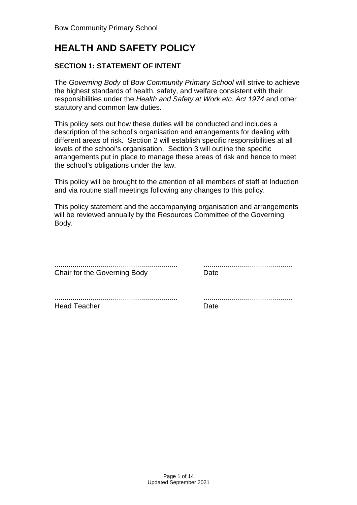# **HEALTH AND SAFETY POLICY**

# **SECTION 1: STATEMENT OF INTENT**

The Governing Body of Bow Community Primary School will strive to achieve the highest standards of health, safety, and welfare consistent with their responsibilities under the Health and Safety at Work etc. Act 1974 and other statutory and common law duties.

This policy sets out how these duties will be conducted and includes a description of the school's organisation and arrangements for dealing with different areas of risk. Section 2 will establish specific responsibilities at all levels of the school's organisation. Section 3 will outline the specific arrangements put in place to manage these areas of risk and hence to meet the school's obligations under the law.

This policy will be brought to the attention of all members of staff at Induction and via routine staff meetings following any changes to this policy.

This policy statement and the accompanying organisation and arrangements will be reviewed annually by the Resources Committee of the Governing Body.

| Chair for the Governing Body | <b>Date</b> |
|------------------------------|-------------|
|                              |             |
| <b>Head Teacher</b>          | Date        |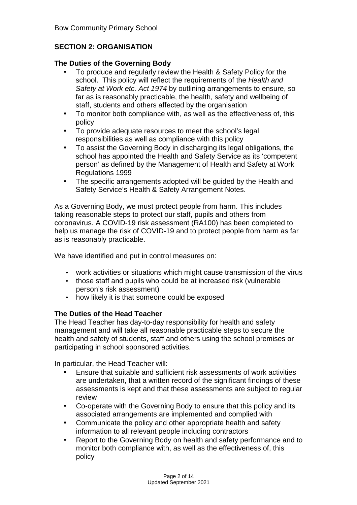# **SECTION 2: ORGANISATION**

#### **The Duties of the Governing Body**

- To produce and regularly review the Health & Safety Policy for the school. This policy will reflect the requirements of the Health and Safety at Work etc. Act 1974 by outlining arrangements to ensure, so far as is reasonably practicable, the health, safety and wellbeing of staff, students and others affected by the organisation
- To monitor both compliance with, as well as the effectiveness of, this policy
- To provide adequate resources to meet the school's legal responsibilities as well as compliance with this policy
- To assist the Governing Body in discharging its legal obligations, the school has appointed the Health and Safety Service as its 'competent person' as defined by the Management of Health and Safety at Work Regulations 1999
- The specific arrangements adopted will be guided by the Health and Safety Service's Health & Safety Arrangement Notes.

As a Governing Body, we must protect people from harm. This includes taking reasonable steps to protect our staff, pupils and others from coronavirus. A COVID-19 risk assessment (RA100) has been completed to help us manage the risk of COVID-19 and to protect people from harm as far as is reasonably practicable.

We have identified and put in control measures on:

- work activities or situations which might cause transmission of the virus
- those staff and pupils who could be at increased risk (vulnerable person's risk assessment)
- how likely it is that someone could be exposed

# **The Duties of the Head Teacher**

The Head Teacher has day-to-day responsibility for health and safety management and will take all reasonable practicable steps to secure the health and safety of students, staff and others using the school premises or participating in school sponsored activities.

In particular, the Head Teacher will:

- Ensure that suitable and sufficient risk assessments of work activities are undertaken, that a written record of the significant findings of these assessments is kept and that these assessments are subject to regular review
- Co-operate with the Governing Body to ensure that this policy and its associated arrangements are implemented and complied with
- Communicate the policy and other appropriate health and safety information to all relevant people including contractors
- Report to the Governing Body on health and safety performance and to monitor both compliance with, as well as the effectiveness of, this policy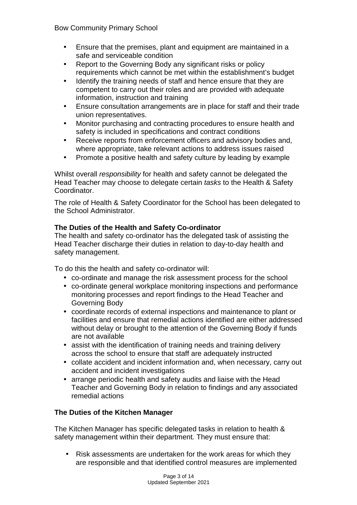- Ensure that the premises, plant and equipment are maintained in a safe and serviceable condition
- Report to the Governing Body any significant risks or policy requirements which cannot be met within the establishment's budget
- Identify the training needs of staff and hence ensure that they are competent to carry out their roles and are provided with adequate information, instruction and training
- Ensure consultation arrangements are in place for staff and their trade union representatives.
- Monitor purchasing and contracting procedures to ensure health and safety is included in specifications and contract conditions
- Receive reports from enforcement officers and advisory bodies and, where appropriate, take relevant actions to address issues raised
- Promote a positive health and safety culture by leading by example

Whilst overall *responsibility* for health and safety cannot be delegated the Head Teacher may choose to delegate certain tasks to the Health & Safety Coordinator.

The role of Health & Safety Coordinator for the School has been delegated to the School Administrator.

# **The Duties of the Health and Safety Co-ordinator**

The health and safety co-ordinator has the delegated task of assisting the Head Teacher discharge their duties in relation to day-to-day health and safety management.

To do this the health and safety co-ordinator will:

- co-ordinate and manage the risk assessment process for the school
- co-ordinate general workplace monitoring inspections and performance monitoring processes and report findings to the Head Teacher and Governing Body
- coordinate records of external inspections and maintenance to plant or facilities and ensure that remedial actions identified are either addressed without delay or brought to the attention of the Governing Body if funds are not available
- assist with the identification of training needs and training delivery across the school to ensure that staff are adequately instructed
- collate accident and incident information and, when necessary, carry out accident and incident investigations
- arrange periodic health and safety audits and liaise with the Head Teacher and Governing Body in relation to findings and any associated remedial actions

# **The Duties of the Kitchen Manager**

The Kitchen Manager has specific delegated tasks in relation to health & safety management within their department. They must ensure that:

• Risk assessments are undertaken for the work areas for which they are responsible and that identified control measures are implemented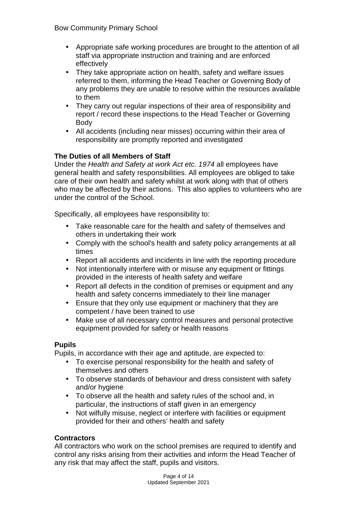- Appropriate safe working procedures are brought to the attention of all staff via appropriate instruction and training and are enforced effectively
- They take appropriate action on health, safety and welfare issues referred to them, informing the Head Teacher or Governing Body of any problems they are unable to resolve within the resources available to them
- They carry out regular inspections of their area of responsibility and report / record these inspections to the Head Teacher or Governing Body
- All accidents (including near misses) occurring within their area of responsibility are promptly reported and investigated

# **The Duties of all Members of Staff**

Under the Health and Safety at work Act etc. 1974 all employees have general health and safety responsibilities. All employees are obliged to take care of their own health and safety whilst at work along with that of others who may be affected by their actions. This also applies to volunteers who are under the control of the School.

Specifically, all employees have responsibility to:

- Take reasonable care for the health and safety of themselves and others in undertaking their work
- Comply with the school's health and safety policy arrangements at all times
- Report all accidents and incidents in line with the reporting procedure
- Not intentionally interfere with or misuse any equipment or fittings provided in the interests of health safety and welfare
- Report all defects in the condition of premises or equipment and any health and safety concerns immediately to their line manager
- Ensure that they only use equipment or machinery that they are competent / have been trained to use
- Make use of all necessary control measures and personal protective equipment provided for safety or health reasons

# **Pupils**

Pupils, in accordance with their age and aptitude, are expected to:

- To exercise personal responsibility for the health and safety of themselves and others
- To observe standards of behaviour and dress consistent with safety and/or hygiene
- To observe all the health and safety rules of the school and, in particular, the instructions of staff given in an emergency
- Not wilfully misuse, neglect or interfere with facilities or equipment provided for their and others' health and safety

# **Contractors**

All contractors who work on the school premises are required to identify and control any risks arising from their activities and inform the Head Teacher of any risk that may affect the staff, pupils and visitors.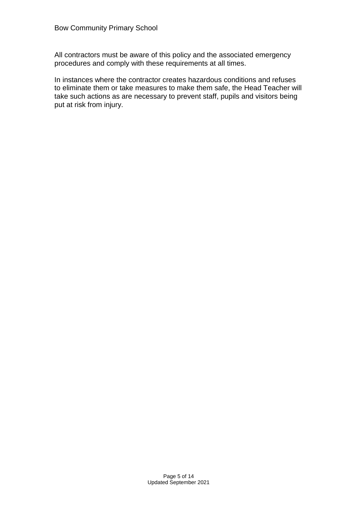All contractors must be aware of this policy and the associated emergency procedures and comply with these requirements at all times.

In instances where the contractor creates hazardous conditions and refuses to eliminate them or take measures to make them safe, the Head Teacher will take such actions as are necessary to prevent staff, pupils and visitors being put at risk from injury.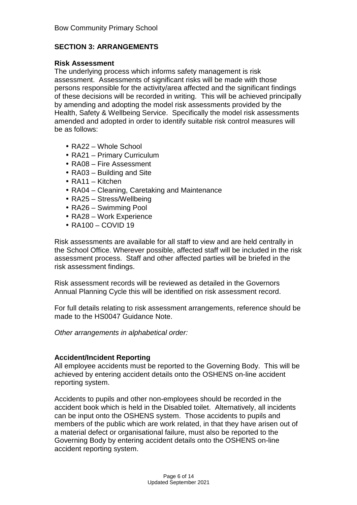# **SECTION 3: ARRANGEMENTS**

#### **Risk Assessment**

The underlying process which informs safety management is risk assessment. Assessments of significant risks will be made with those persons responsible for the activity/area affected and the significant findings of these decisions will be recorded in writing. This will be achieved principally by amending and adopting the model risk assessments provided by the Health, Safety & Wellbeing Service. Specifically the model risk assessments amended and adopted in order to identify suitable risk control measures will be as follows:

- RA22 Whole School
- RA21 Primary Curriculum
- RA08 Fire Assessment
- RA03 Building and Site
- RA11 Kitchen
- RA04 Cleaning, Caretaking and Maintenance
- RA25 Stress/Wellbeing
- RA26 Swimming Pool
- RA28 Work Experience
- RA100 COVID 19

Risk assessments are available for all staff to view and are held centrally in the School Office. Wherever possible, affected staff will be included in the risk assessment process. Staff and other affected parties will be briefed in the risk assessment findings.

Risk assessment records will be reviewed as detailed in the Governors Annual Planning Cycle this will be identified on risk assessment record.

For full details relating to risk assessment arrangements, reference should be made to the HS0047 Guidance Note.

Other arrangements in alphabetical order:

#### **Accident/Incident Reporting**

All employee accidents must be reported to the Governing Body. This will be achieved by entering accident details onto the OSHENS on-line accident reporting system.

Accidents to pupils and other non-employees should be recorded in the accident book which is held in the Disabled toilet. Alternatively, all incidents can be input onto the OSHENS system. Those accidents to pupils and members of the public which are work related, in that they have arisen out of a material defect or organisational failure, must also be reported to the Governing Body by entering accident details onto the OSHENS on-line accident reporting system.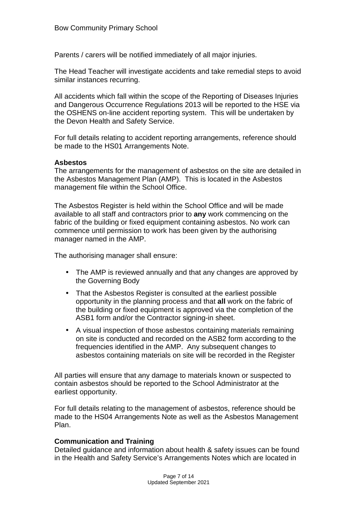Parents / carers will be notified immediately of all major injuries.

The Head Teacher will investigate accidents and take remedial steps to avoid similar instances recurring.

All accidents which fall within the scope of the Reporting of Diseases Injuries and Dangerous Occurrence Regulations 2013 will be reported to the HSE via the OSHENS on-line accident reporting system. This will be undertaken by the Devon Health and Safety Service.

For full details relating to accident reporting arrangements, reference should be made to the HS01 Arrangements Note.

#### **Asbestos**

The arrangements for the management of asbestos on the site are detailed in the Asbestos Management Plan (AMP). This is located in the Asbestos management file within the School Office.

The Asbestos Register is held within the School Office and will be made available to all staff and contractors prior to **any** work commencing on the fabric of the building or fixed equipment containing asbestos. No work can commence until permission to work has been given by the authorising manager named in the AMP.

The authorising manager shall ensure:

- The AMP is reviewed annually and that any changes are approved by the Governing Body
- That the Asbestos Register is consulted at the earliest possible opportunity in the planning process and that **all** work on the fabric of the building or fixed equipment is approved via the completion of the ASB1 form and/or the Contractor signing-in sheet.
- A visual inspection of those asbestos containing materials remaining on site is conducted and recorded on the ASB2 form according to the frequencies identified in the AMP. Any subsequent changes to asbestos containing materials on site will be recorded in the Register

All parties will ensure that any damage to materials known or suspected to contain asbestos should be reported to the School Administrator at the earliest opportunity.

For full details relating to the management of asbestos, reference should be made to the HS04 Arrangements Note as well as the Asbestos Management Plan.

#### **Communication and Training**

Detailed guidance and information about health & safety issues can be found in the Health and Safety Service's Arrangements Notes which are located in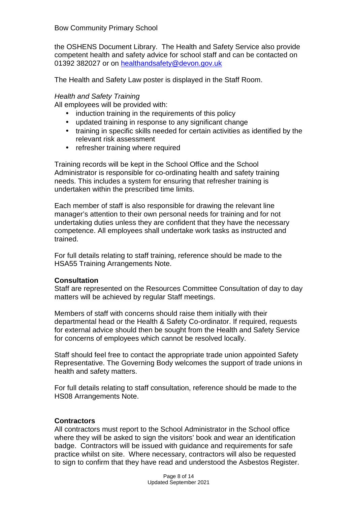the OSHENS Document Library. The Health and Safety Service also provide competent health and safety advice for school staff and can be contacted on 01392 382027 or on healthandsafety@devon.gov.uk

The Health and Safety Law poster is displayed in the Staff Room.

# Health and Safety Training

All employees will be provided with:

- induction training in the requirements of this policy
- updated training in response to any significant change
- training in specific skills needed for certain activities as identified by the relevant risk assessment
- refresher training where required

Training records will be kept in the School Office and the School Administrator is responsible for co-ordinating health and safety training needs. This includes a system for ensuring that refresher training is undertaken within the prescribed time limits.

Each member of staff is also responsible for drawing the relevant line manager's attention to their own personal needs for training and for not undertaking duties unless they are confident that they have the necessary competence. All employees shall undertake work tasks as instructed and trained.

For full details relating to staff training, reference should be made to the HSA55 Training Arrangements Note.

#### **Consultation**

Staff are represented on the Resources Committee Consultation of day to day matters will be achieved by regular Staff meetings.

Members of staff with concerns should raise them initially with their departmental head or the Health & Safety Co-ordinator. If required, requests for external advice should then be sought from the Health and Safety Service for concerns of employees which cannot be resolved locally.

Staff should feel free to contact the appropriate trade union appointed Safety Representative. The Governing Body welcomes the support of trade unions in health and safety matters.

For full details relating to staff consultation, reference should be made to the HS08 Arrangements Note.

#### **Contractors**

All contractors must report to the School Administrator in the School office where they will be asked to sign the visitors' book and wear an identification badge. Contractors will be issued with guidance and requirements for safe practice whilst on site. Where necessary, contractors will also be requested to sign to confirm that they have read and understood the Asbestos Register.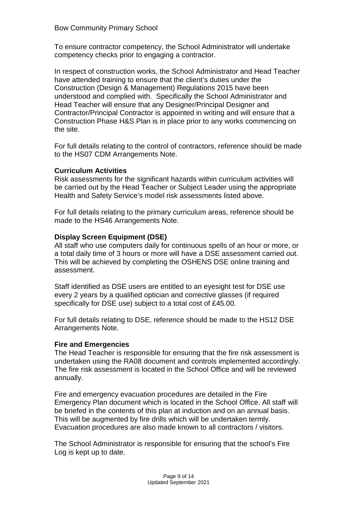To ensure contractor competency, the School Administrator will undertake competency checks prior to engaging a contractor.

In respect of construction works, the School Administrator and Head Teacher have attended training to ensure that the client's duties under the Construction (Design & Management) Regulations 2015 have been understood and complied with. Specifically the School Administrator and Head Teacher will ensure that any Designer/Principal Designer and Contractor/Principal Contractor is appointed in writing and will ensure that a Construction Phase H&S Plan is in place prior to any works commencing on the site.

For full details relating to the control of contractors, reference should be made to the HS07 CDM Arrangements Note.

## **Curriculum Activities**

Risk assessments for the significant hazards within curriculum activities will be carried out by the Head Teacher or Subject Leader using the appropriate Health and Safety Service's model risk assessments listed above.

For full details relating to the primary curriculum areas, reference should be made to the HS46 Arrangements Note.

## **Display Screen Equipment (DSE)**

All staff who use computers daily for continuous spells of an hour or more, or a total daily time of 3 hours or more will have a DSE assessment carried out. This will be achieved by completing the OSHENS DSE online training and assessment.

Staff identified as DSE users are entitled to an eyesight test for DSE use every 2 years by a qualified optician and corrective glasses (if required specifically for DSE use) subject to a total cost of £45.00.

For full details relating to DSE, reference should be made to the HS12 DSE Arrangements Note.

#### **Fire and Emergencies**

The Head Teacher is responsible for ensuring that the fire risk assessment is undertaken using the RA08 document and controls implemented accordingly. The fire risk assessment is located in the School Office and will be reviewed annually.

Fire and emergency evacuation procedures are detailed in the Fire Emergency Plan document which is located in the School Office. All staff will be briefed in the contents of this plan at induction and on an annual basis. This will be augmented by fire drills which will be undertaken termly. Evacuation procedures are also made known to all contractors / visitors.

The School Administrator is responsible for ensuring that the school's Fire Log is kept up to date.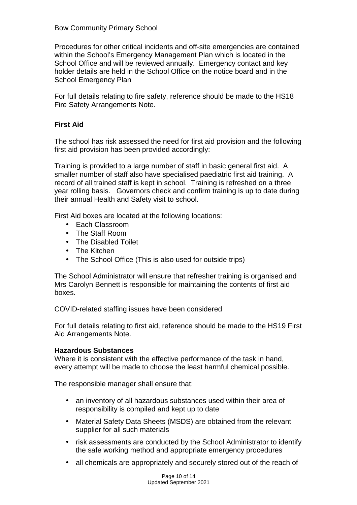#### Bow Community Primary School

Procedures for other critical incidents and off-site emergencies are contained within the School's Emergency Management Plan which is located in the School Office and will be reviewed annually. Emergency contact and key holder details are held in the School Office on the notice board and in the School Emergency Plan

For full details relating to fire safety, reference should be made to the HS18 Fire Safety Arrangements Note.

#### **First Aid**

The school has risk assessed the need for first aid provision and the following first aid provision has been provided accordingly:

Training is provided to a large number of staff in basic general first aid. A smaller number of staff also have specialised paediatric first aid training. A record of all trained staff is kept in school. Training is refreshed on a three year rolling basis. Governors check and confirm training is up to date during their annual Health and Safety visit to school.

First Aid boxes are located at the following locations:

- Each Classroom
- The Staff Room
- The Disabled Toilet
- The Kitchen
- The School Office (This is also used for outside trips)

The School Administrator will ensure that refresher training is organised and Mrs Carolyn Bennett is responsible for maintaining the contents of first aid boxes.

COVID-related staffing issues have been considered

For full details relating to first aid, reference should be made to the HS19 First Aid Arrangements Note.

#### **Hazardous Substances**

Where it is consistent with the effective performance of the task in hand, every attempt will be made to choose the least harmful chemical possible.

The responsible manager shall ensure that:

- an inventory of all hazardous substances used within their area of responsibility is compiled and kept up to date
- Material Safety Data Sheets (MSDS) are obtained from the relevant supplier for all such materials
- risk assessments are conducted by the School Administrator to identify the safe working method and appropriate emergency procedures
- all chemicals are appropriately and securely stored out of the reach of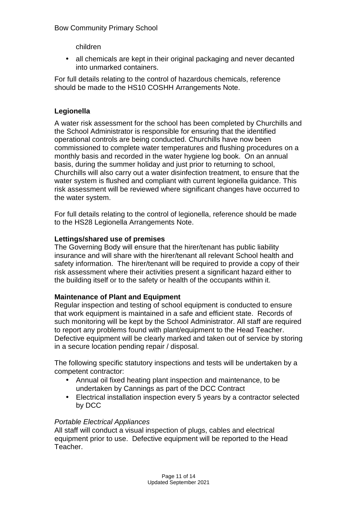children

• all chemicals are kept in their original packaging and never decanted into unmarked containers.

For full details relating to the control of hazardous chemicals, reference should be made to the HS10 COSHH Arrangements Note.

# **Legionella**

A water risk assessment for the school has been completed by Churchills and the School Administrator is responsible for ensuring that the identified operational controls are being conducted. Churchills have now been commissioned to complete water temperatures and flushing procedures on a monthly basis and recorded in the water hygiene log book. On an annual basis, during the summer holiday and just prior to returning to school, Churchills will also carry out a water disinfection treatment, to ensure that the water system is flushed and compliant with current legionella guidance. This risk assessment will be reviewed where significant changes have occurred to the water system.

For full details relating to the control of legionella, reference should be made to the HS28 Legionella Arrangements Note.

# **Lettings/shared use of premises**

The Governing Body will ensure that the hirer/tenant has public liability insurance and will share with the hirer/tenant all relevant School health and safety information. The hirer/tenant will be required to provide a copy of their risk assessment where their activities present a significant hazard either to the building itself or to the safety or health of the occupants within it.

# **Maintenance of Plant and Equipment**

Regular inspection and testing of school equipment is conducted to ensure that work equipment is maintained in a safe and efficient state. Records of such monitoring will be kept by the School Administrator. All staff are required to report any problems found with plant/equipment to the Head Teacher. Defective equipment will be clearly marked and taken out of service by storing in a secure location pending repair / disposal.

The following specific statutory inspections and tests will be undertaken by a competent contractor:

- Annual oil fixed heating plant inspection and maintenance, to be undertaken by Cannings as part of the DCC Contract
- Electrical installation inspection every 5 years by a contractor selected by DCC

#### Portable Electrical Appliances

All staff will conduct a visual inspection of plugs, cables and electrical equipment prior to use. Defective equipment will be reported to the Head Teacher.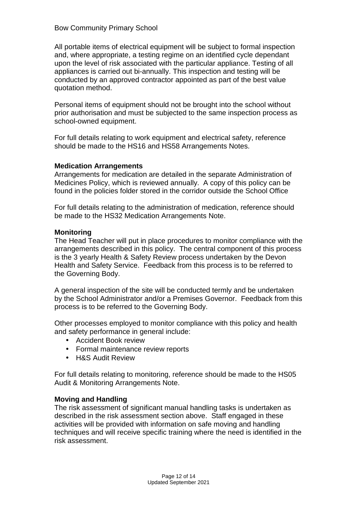#### Bow Community Primary School

All portable items of electrical equipment will be subject to formal inspection and, where appropriate, a testing regime on an identified cycle dependant upon the level of risk associated with the particular appliance. Testing of all appliances is carried out bi-annually. This inspection and testing will be conducted by an approved contractor appointed as part of the best value quotation method.

Personal items of equipment should not be brought into the school without prior authorisation and must be subjected to the same inspection process as school-owned equipment.

For full details relating to work equipment and electrical safety, reference should be made to the HS16 and HS58 Arrangements Notes.

#### **Medication Arrangements**

Arrangements for medication are detailed in the separate Administration of Medicines Policy, which is reviewed annually. A copy of this policy can be found in the policies folder stored in the corridor outside the School Office

For full details relating to the administration of medication, reference should be made to the HS32 Medication Arrangements Note.

#### **Monitoring**

The Head Teacher will put in place procedures to monitor compliance with the arrangements described in this policy. The central component of this process is the 3 yearly Health & Safety Review process undertaken by the Devon Health and Safety Service. Feedback from this process is to be referred to the Governing Body.

A general inspection of the site will be conducted termly and be undertaken by the School Administrator and/or a Premises Governor. Feedback from this process is to be referred to the Governing Body.

Other processes employed to monitor compliance with this policy and health and safety performance in general include:

- Accident Book review
- Formal maintenance review reports
- H&S Audit Review

For full details relating to monitoring, reference should be made to the HS05 Audit & Monitoring Arrangements Note.

#### **Moving and Handling**

The risk assessment of significant manual handling tasks is undertaken as described in the risk assessment section above. Staff engaged in these activities will be provided with information on safe moving and handling techniques and will receive specific training where the need is identified in the risk assessment.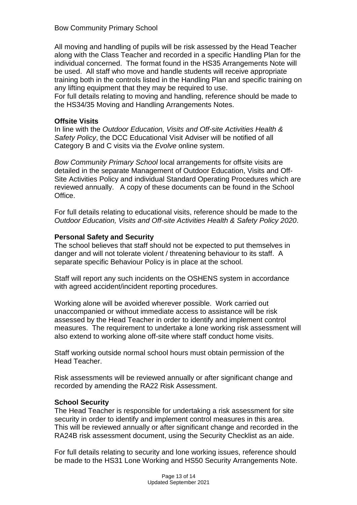## Bow Community Primary School

All moving and handling of pupils will be risk assessed by the Head Teacher along with the Class Teacher and recorded in a specific Handling Plan for the individual concerned. The format found in the HS35 Arrangements Note will be used. All staff who move and handle students will receive appropriate training both in the controls listed in the Handling Plan and specific training on any lifting equipment that they may be required to use.

For full details relating to moving and handling, reference should be made to the HS34/35 Moving and Handling Arrangements Notes.

#### **Offsite Visits**

In line with the Outdoor Education, Visits and Off-site Activities Health & Safety Policy, the DCC Educational Visit Adviser will be notified of all Category B and C visits via the Evolve online system.

Bow Community Primary School local arrangements for offsite visits are detailed in the separate Management of Outdoor Education, Visits and Off-Site Activities Policy and individual Standard Operating Procedures which are reviewed annually. A copy of these documents can be found in the School Office.

For full details relating to educational visits, reference should be made to the Outdoor Education, Visits and Off-site Activities Health & Safety Policy 2020.

#### **Personal Safety and Security**

The school believes that staff should not be expected to put themselves in danger and will not tolerate violent / threatening behaviour to its staff. A separate specific Behaviour Policy is in place at the school.

Staff will report any such incidents on the OSHENS system in accordance with agreed accident/incident reporting procedures.

Working alone will be avoided wherever possible. Work carried out unaccompanied or without immediate access to assistance will be risk assessed by the Head Teacher in order to identify and implement control measures. The requirement to undertake a lone working risk assessment will also extend to working alone off-site where staff conduct home visits.

Staff working outside normal school hours must obtain permission of the Head Teacher.

Risk assessments will be reviewed annually or after significant change and recorded by amending the RA22 Risk Assessment.

#### **School Security**

The Head Teacher is responsible for undertaking a risk assessment for site security in order to identify and implement control measures in this area. This will be reviewed annually or after significant change and recorded in the RA24B risk assessment document, using the Security Checklist as an aide.

For full details relating to security and lone working issues, reference should be made to the HS31 Lone Working and HS50 Security Arrangements Note.